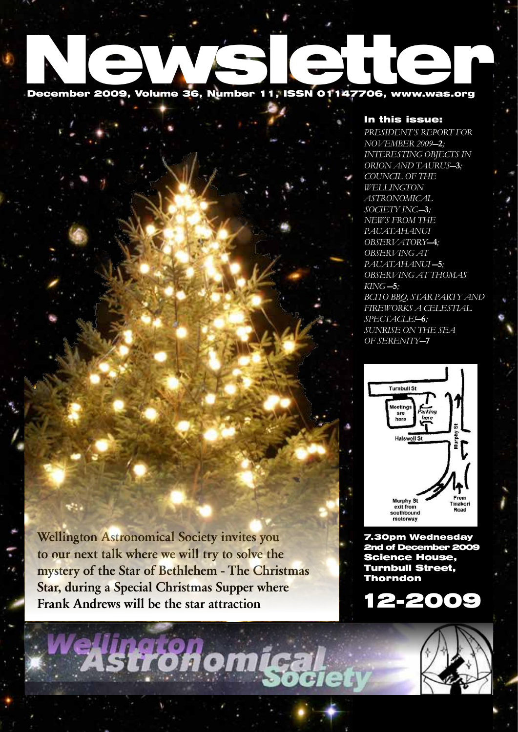# December 2009, Volume 36, Number 11, ISSN 01147706, www.was.org

In this issue:

*PRESIDENT's REPORT FOR NOVEMBER 2009*—2*; Interesting Objects in Orion and Taurus*—3*; COUNCIL OF THE WELLINGTON ASTRONOMICAL SOCIETY INC.*—3*; News from the Pauatahanui Observatory*—4*; OBSERVING AT PAUATAHANUI* —5*; OBSERVING AT THOMAS KING* —5*; BCITO BBQ, Star Party and Fireworks a celestial spectacle!*—6*; Sunrise on the Sea of Serenity*—7



Wellington Astronomical Society invites you to our next talk where we will try to solve the mystery of the Star of Bethlehem - The Christmas Star, during a Special Christmas Supper where Frank Andrews will be the star attraction

7.30pm Wednesday 2nd of December 2009 Science House, Turnbull Street, Thorndon



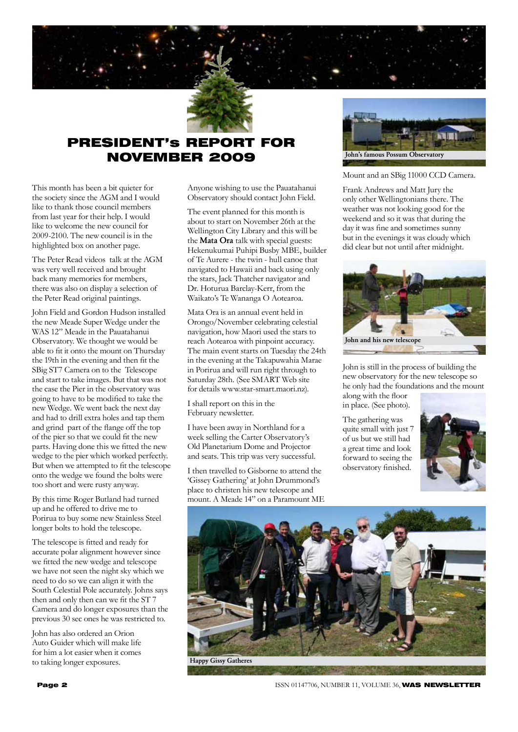



## PRESIDENT's REPORT FOR NOVEMBER 2009

This month has been a bit quieter for the society since the AGM and I would like to thank those council members from last year for their help. I would like to welcome the new council for 2009-2100. The new council is in the highlighted box on another page.

The Peter Read videos talk at the AGM was very well received and brought back many memories for members, there was also on display a selection of the Peter Read original paintings.

John Field and Gordon Hudson installed the new Meade Super Wedge under the WAS 12" Meade in the Pauatahanui Observatory. We thought we would be able to fit it onto the mount on Thursday the 19th in the evening and then fit the SBig ST7 Camera on to the Telescope and start to take images. But that was not the case the Pier in the observatory was going to have to be modified to take the new Wedge. We went back the next day and had to drill extra holes and tap them and grind part of the flange off the top of the pier so that we could fit the new parts. Having done this we fitted the new wedge to the pier which worked perfectly. But when we attempted to fit the telescope onto the wedge we found the bolts were too short and were rusty anyway.

By this time Roger Butland had turned up and he offered to drive me to Porirua to buy some new Stainless Steel longer bolts to hold the telescope.

The telescope is fitted and ready for accurate polar alignment however since we fitted the new wedge and telescope we have not seen the night sky which we need to do so we can align it with the South Celestial Pole accurately. Johns says then and only then can we fit the ST 7 Camera and do longer exposures than the previous 30 sec ones he was restricted to.

John has also ordered an Orion Auto Guider which will make life for him a lot easier when it comes to taking longer exposures.

Anyone wishing to use the Pauatahanui Observatory should contact John Field.

The event planned for this month is about to start on November 26th at the Wellington City Library and this will be the Mata Ora talk with special guests: Hekenukumai Puhipi Busby MBE, builder of Te Aurere - the twin - hull canoe that navigated to Hawaii and back using only the stars, Jack Thatcher navigator and Dr. Hoturua Barclay-Kerr, from the Waikato's Te Wananga O Aotearoa.

Mata Ora is an annual event held in Orongo/November celebrating celestial navigation, how Maori used the stars to reach Aotearoa with pinpoint accuracy. The main event starts on Tuesday the 24th in the evening at the Takapuwahia Marae in Porirua and will run right through to Saturday 28th. (See SMART Web site for details www.star-smart.maori.nz).

I shall report on this in the February newsletter.

I have been away in Northland for a week selling the Carter Observatory's Old Planetarium Dome and Projector and seats. This trip was very successful.

I then travelled to Gisborne to attend the 'Gissey Gathering' at John Drummond's place to christen his new telescope and mount. A Meade 14" on a Paramount ME



Mount and an SBig 11000 CCD Camera.

Frank Andrews and Matt Jury the only other Wellingtonians there. The weather was not looking good for the weekend and so it was that during the day it was fine and sometimes sunny but in the evenings it was cloudy which did clear but not until after midnight.



John is still in the process of building the new observatory for the new telescope so he only had the foundations and the mount along with the floor

in place. (See photo).

The gathering was quite small with just 7 of us but we still had a great time and look forward to seeing the observatory finished.





**Page 2 ISSN 01147706, NUMBER 11, VOLUME 36, WAS NEWSLETTER**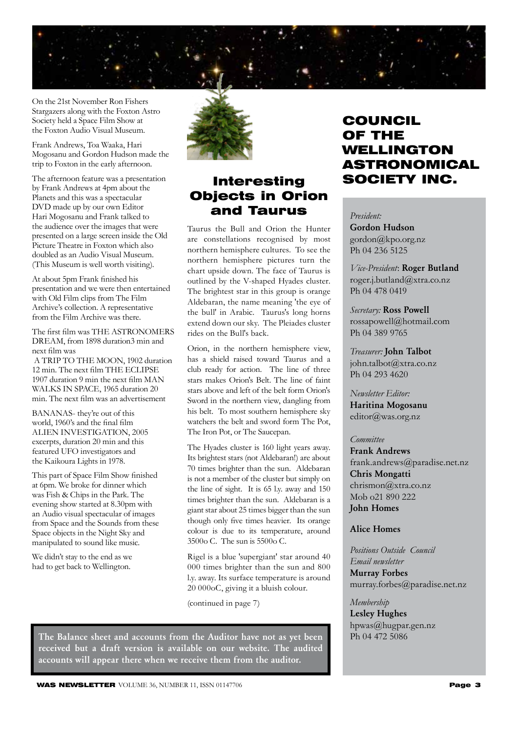

On the 21st November Ron Fishers Stargazers along with the Foxton Astro Society held a Space Film Show at the Foxton Audio Visual Museum.

Frank Andrews, Toa Waaka, Hari Mogosanu and Gordon Hudson made the trip to Foxton in the early afternoon.

The afternoon feature was a presentation by Frank Andrews at 4pm about the Planets and this was a spectacular DVD made up by our own Editor Hari Mogosanu and Frank talked to the audience over the images that were presented on a large screen inside the Old Picture Theatre in Foxton which also doubled as an Audio Visual Museum. (This Museum is well worth visiting).

At about 5pm Frank finished his presentation and we were then entertained with Old Film clips from The Film Archive's collection. A representative from the Film Archive was there.

The first film was THE ASTRONOMERS DREAM, from 1898 duration3 min and next film was

 A TRIP TO THE MOON, 1902 duration 12 min. The next film THE ECLIPSE 1907 duration 9 min the next film MAN WALKS IN SPACE, 1965 duration 20 min. The next film was an advertisement

BANANAS- they're out of this world, 1960's and the final film ALIEN INVESTIGATION, 2005 excerpts, duration 20 min and this featured UFO investigators and the Kaikoura Lights in 1978.

This part of Space Film Show finished at 6pm. We broke for dinner which was Fish & Chips in the Park. The evening show started at 8.30pm with an Audio visual spectacular of images from Space and the Sounds from these Space objects in the Night Sky and manipulated to sound like music.

We didn't stay to the end as we had to get back to Wellington.



# Interesting Objects in Orion and Taurus

Taurus the Bull and Orion the Hunter are constellations recognised by most northern hemisphere cultures. To see the northern hemisphere pictures turn the chart upside down. The face of Taurus is outlined by the V-shaped Hyades cluster. The brightest star in this group is orange Aldebaran, the name meaning 'the eye of the bull' in Arabic. Taurus's long horns extend down our sky. The Pleiades cluster rides on the Bull's back.

Orion, in the northern hemisphere view, has a shield raised toward Taurus and a club ready for action. The line of three stars makes Orion's Belt. The line of faint stars above and left of the belt form Orion's Sword in the northern view, dangling from his belt. To most southern hemisphere sky watchers the belt and sword form The Pot, The Iron Pot, or The Saucepan.

The Hyades cluster is 160 light years away. Its brightest stars (not Aldebaran!) are about 70 times brighter than the sun. Aldebaran is not a member of the cluster but simply on the line of sight. It is 65 l.y. away and 150 times brighter than the sun. Aldebaran is a giant star about 25 times bigger than the sun though only five times heavier. Its orange colour is due to its temperature, around 3500o C. The sun is 5500o C.

Rigel is a blue 'supergiant' star around 40 000 times brighter than the sun and 800 l.y. away. Its surface temperature is around 20 000oC, giving it a bluish colour.

(continued in page 7)

The Balance sheet and accounts from the Auditor have not as yet been received but a draft version is available on our website. The audited accounts will appear there when we receive them from the auditor.

# **COUNCIL** OF THE WELLINGTON ASTRONOMICAL SOCIETY INC.

*President:*  Gordon Hudson gordon@kpo.org.nz Ph 04 236 5125

*Vice-President*: Roger Butland roger.j.butland@xtra.co.nz Ph 04 478 0419

*Secretary:* Ross Powell rossapowell@hotmail.com Ph 04 389 9765

*Treasurer:* John Talbot john.talbot@xtra.co.nz Ph 04 293 4620

*Newsletter Editor:*  Haritina Mogosanu editor@was.org.nz

#### *Committee*

Frank Andrews frank.andrews@paradise.net.nz Chris Mongatti chrismon@xtra.co.nz Mob o21 890 222 John Homes

#### Alice Homes

*Positions Outside Council Email newsletter* Murray Forbes murray.forbes@paradise.net.nz

*Membership* 

Lesley Hughes hpwas@hugpar.gen.nz Ph 04 472 5086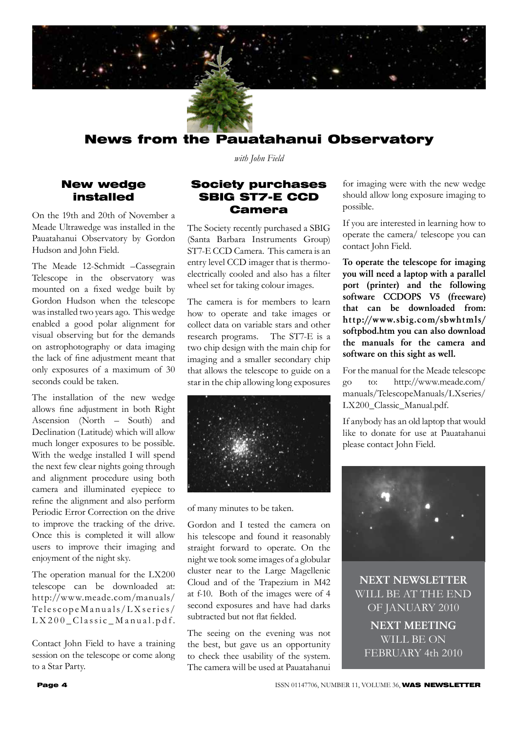

## News from the Pauatahanui Observatory

*with John Field*

## New wedge installed

On the 19th and 20th of November a Meade Ultrawedge was installed in the Pauatahanui Observatory by Gordon Hudson and John Field.

The Meade 12-Schmidt –Cassegrain Telescope in the observatory was mounted on a fixed wedge built by Gordon Hudson when the telescope was installed two years ago. This wedge enabled a good polar alignment for visual observing but for the demands on astrophotography or data imaging the lack of fine adjustment meant that only exposures of a maximum of 30 seconds could be taken.

The installation of the new wedge allows fine adjustment in both Right Ascension (North – South) and Declination (Latitude) which will allow much longer exposures to be possible. With the wedge installed I will spend the next few clear nights going through and alignment procedure using both camera and illuminated eyepiece to refine the alignment and also perform Periodic Error Correction on the drive to improve the tracking of the drive. Once this is completed it will allow users to improve their imaging and enjoyment of the night sky.

The operation manual for the LX200 telescope can be downloaded at: http://www.meade.com/manuals/  $Teles cope Manuals/LX series/$  $LX200_Cllassic_Manual.pdf.$ 

Contact John Field to have a training session on the telescope or come along to a Star Party.

#### Society purchases SBIG ST7-E CCD Camera

The Society recently purchased a SBIG (Santa Barbara Instruments Group) ST7-E CCD Camera. This camera is an entry level CCD imager that is thermoelectrically cooled and also has a filter wheel set for taking colour images.

The camera is for members to learn how to operate and take images or collect data on variable stars and other research programs. The ST7-E is a two chip design with the main chip for imaging and a smaller secondary chip that allows the telescope to guide on a star in the chip allowing long exposures



of many minutes to be taken.

Gordon and I tested the camera on his telescope and found it reasonably straight forward to operate. On the night we took some images of a globular cluster near to the Large Magellenic Cloud and of the Trapezium in M42 at f-10. Both of the images were of 4 second exposures and have had darks subtracted but not flat fielded.

The seeing on the evening was not the best, but gave us an opportunity to check thee usability of the system. The camera will be used at Pauatahanui

for imaging were with the new wedge should allow long exposure imaging to possible.

If you are interested in learning how to operate the camera/ telescope you can contact John Field.

To operate the telescope for imaging you will need a laptop with a parallel port (printer) and the following software CCDOPS V5 (freeware) that can be downloaded from: http://www.sbig.com/sbwhtmls/ softpbod.htm you can also download the manuals for the camera and software on this sight as well.

For the manual for the Meade telescope go to: http://www.meade.com/ manuals/TelescopeManuals/LXseries/ LX200 Classic Manual.pdf.

If anybody has an old laptop that would like to donate for use at Pauatahanui please contact John Field.



NEXT NEWSLETTER WILL BE AT THE END OF JANUARY 2010 NEXT MEETING WILL BE ON FEBRUARY 4th 2010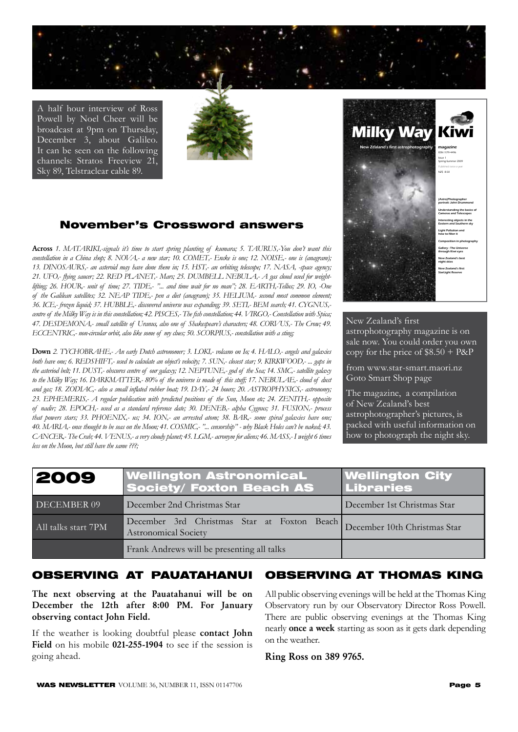

A half hour interview of Ross Powell by Noel Cheer will be broadcast at 9pm on Thursday, December 3, about Galileo. It can be seen on the following channels: Stratos Freeview 21, Sky 89, Telstraclear cable 89.



#### November's Crossword answers

Across 1. MATARIKI,-signals it's time to start spring planting of kumara; 5. TAURUS,-You don't want this constellation in a China shop; 8. NOVA-- a new star; 10. COMET<sub>1</sub>- Encke is one; 12. NOISE<sub>1</sub>- one is (anagram); *13. DINOSAURS'- an asteroid may have done them in; 15. HST'- an orbiting telescope; 17. NASA' -space agency;*  21. UFO,- flying saucer; 22. RED PLANET,- Mars; 25. DUMBELL NEBULA,- A gas cloud used for weight*lifting; 26. HOUR,- unit of time; 27. TIDE,- "... and time wait for no man"; 28. EARTH,-Tellus; 29. IO, -One of the Galilean satellites; 32. NEAP TIDE'- pen a diet (anagram); 35. HELIUM'- second most common element; 36. ICE'- frozen liquid; 37. HUBBLE'- discovered universe was expanding; 39. SETI'- BEM search; 41. CYGNUS' centre of the Milky Way is in this constellation; 42. PISCES'- The fish constellation; 44. VIRGO'- Constellation with Spica; 47. DESDEMONA'- small satellite of Uranus, also one of Shakespeare's characters; 48. CORVUS'- The Crow; 49. ECCENTRIC'- non-circular orbit, also like some of my clues; 50. SCORPIUS'- constellation with a sting;*

Down 2. TYCHOBRAHE,- An early Dutch astronomer; 3. LOKI,- volcano on Io; 4. HALO,- angels and galaxies *both have one; 6. REDSHIFT'- used to calculate an object's velocity; 7. SUN'- closest star; 9. KIRKWOOD'- ... gaps in the asteriod belt; 11. DUST'- obscures centre of our galaxy; 12. NEPTUNE'- god of the Sea; 14. SMC'- satellite galaxy*  to the Milky Way; 16. DARKMATTER,-80% of the universe is made of this stuff; 17. NEBULAE,- cloud of dust *and gas; 18. ZODIAC'- also a small inflated rubber boat; 19. DAY'- 24 hours; 20. ASTROPHYSICS'- astronomy; 23. EPHEMERIS'- A regular publication with predicted positions of the Sun, Moon etc; 24. ZENITH'- opposite of nadir; 28. EPOCH'- used as a standard reference date; 30. DENEB'- alpha Cygnus; 31. FUSION'- process that powers stars; 33. PHOENIX'- us; 34. ION'- an arrested atom; 38. BAR'- some spiral galaxies have one; 40. MARIA'- once thought to be seas on the Moon; 41. COSMIC'- "... censorship" - why Black Holes can't be naked; 43.*  CANCER,- The Crab; 44. VENUS,- a very cloudy planet; 45. LGM,- acronym for aliens; 46. MASS,- I weight 6 times *less on the Moon, but still have the same ???;*



#### New Zealand's first astrophotography magazine is on sale now. You could order you own copy for the price of \$8.50 + P&P

from www.star-smart.maori.nz Goto Smart Shop page

The magazine, a compilation of New Zealand's best astrophotographer's pictures, is packed with useful information on how to photograph the night sky.

| 2009                | <b>Wellington AstronomicaL</b><br><b>Society/ Foxton Beach AS</b>                                | <b>Wellington City</b><br><b>Libraries</b> |
|---------------------|--------------------------------------------------------------------------------------------------|--------------------------------------------|
| DECEMBER 09         | December 2nd Christmas Star                                                                      | December 1st Christmas Star                |
| All talks start 7PM | December 3rd Christmas Star at Foxton Beach December 10th Christmas Star<br>Astronomical Society |                                            |
|                     | Frank Andrews will be presenting all talks                                                       |                                            |

#### OBSERVING AT PAUATAHANUI OBSERVING AT THOMAS KING

The next observing at the Pauatahanui will be on December the 12th after 8:00 PM. For January observing contact John Field.

If the weather is looking doubtful please contact John Field on his mobile 021-255-1904 to see if the session is going ahead.

All public observing evenings will be held at the Thomas King Observatory run by our Observatory Director Ross Powell. There are public observing evenings at the Thomas King nearly once a week starting as soon as it gets dark depending on the weather.

Ring Ross on 389 9765.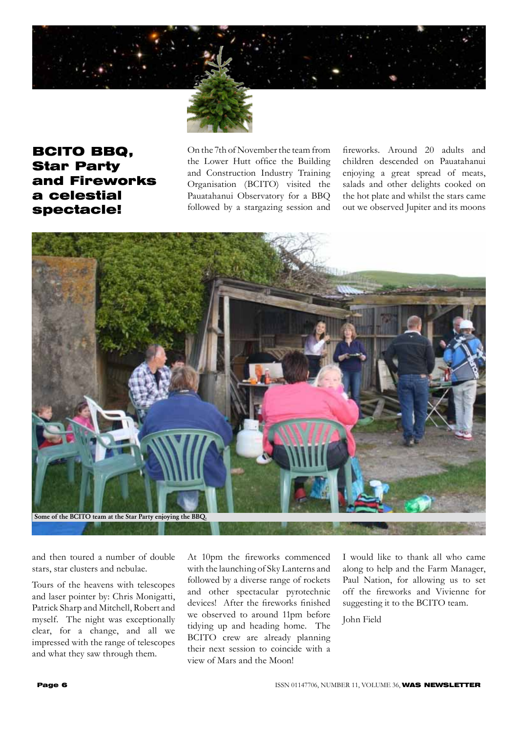

## BCITO BBQ, Star Party and Fireworks a celestial spectacle!

On the 7th of November the team from the Lower Hutt office the Building and Construction Industry Training Organisation (BCITO) visited the Pauatahanui Observatory for a BBQ followed by a stargazing session and

fireworks. Around 20 adults and children descended on Pauatahanui enjoying a great spread of meats, salads and other delights cooked on the hot plate and whilst the stars came out we observed Jupiter and its moons



and then toured a number of double stars, star clusters and nebulae.

Tours of the heavens with telescopes and laser pointer by: Chris Monigatti, Patrick Sharp and Mitchell, Robert and myself. The night was exceptionally clear, for a change, and all we impressed with the range of telescopes and what they saw through them.

At 10pm the fireworks commenced with the launching of Sky Lanterns and followed by a diverse range of rockets and other spectacular pyrotechnic devices! After the fireworks finished we observed to around 11pm before tidying up and heading home. The BCITO crew are already planning their next session to coincide with a view of Mars and the Moon!

I would like to thank all who came along to help and the Farm Manager, Paul Nation, for allowing us to set off the fireworks and Vivienne for suggesting it to the BCITO team.

John Field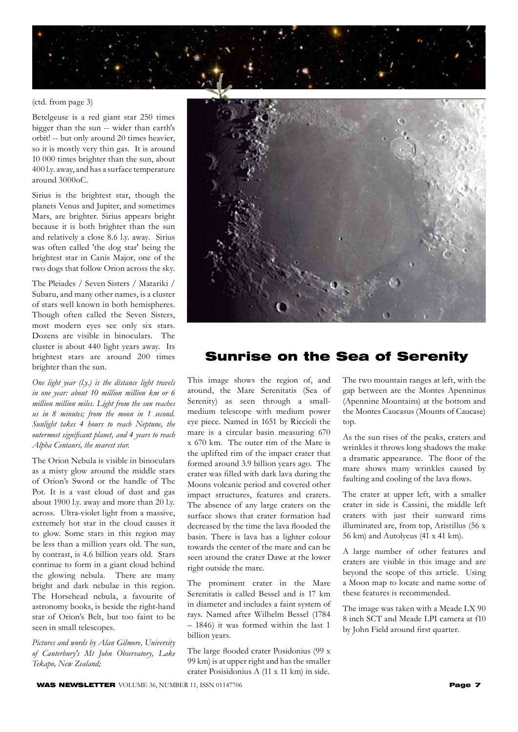

#### (ctd. from page 3)

Betelgeuse is a red giant star 250 times bigger than the sun -- wider than earth's orbit! -- but only around 20 times heavier, so it is mostly very thin gas. It is around 10 000 times brighter than the sun, about 400 l.y. away, and has a surface temperature around 3000oC.

Sirius is the brightest star, though the planets Venus and Jupiter, and sometimes Mars, are brighter. Sirius appears bright because it is both brighter than the sun and relatively a close 8.6 l.y. away. Sirius was often called 'the dog star' being the brightest star in Canis Major, one of the two dogs that follow Orion across the sky.

The Pleiades / Seven Sisters / Matariki / Subaru, and many other names, is a cluster of stars well known in both hemispheres. Though often called the Seven Sisters, most modern eyes see only six stars. Dozens are visible in binoculars. The cluster is about 440 light years away. Its brightest stars are around 200 times brighter than the sun.

*One light year (l.y.) is the distance light travels in one year: about 10 million million km or 6 million million miles. Light from the sun reaches us in 8 minutes; from the moon in 1 second. Sunlight takes 4 hours to reach Neptune, the outermost significant planet, and 4 years to reach Alpha Centauri, the nearest star.*

The Orion Nebula is visible in binoculars as a misty glow around the middle stars of Orion's Sword or the handle of The Pot. It is a vast cloud of dust and gas about 1900 l.y. away and more than 20 l.y. across. Ultra-violet light from a massive, extremely hot star in the cloud causes it to glow. Some stars in this region may be less than a million years old. The sun, by contrast, is 4.6 billion years old. Stars continue to form in a giant cloud behind the glowing nebula. There are many bright and dark nebulae in this region. The Horsehead nebula, a favourite of astronomy books, is beside the right-hand star of Orion's Belt, but too faint to be seen in small telescopes.

*Pictures and words by Alan Gilmore, University of Canterbury's Mt John Observatory, Lake Tekapo, New Zealand;*



### Sunrise on the Sea of Serenity

This image shows the region of, and around, the Mare Serenitatis (Sea of Serenity) as seen through a smallmedium telescope with medium power eye piece. Named in 1651 by Riccioli the mare is a circular basin measuring 670 x 670 km. The outer rim of the Mare is the uplifted rim of the impact crater that formed around 3.9 billion years ago. The crater was filled with dark lava during the Moons volcanic period and covered other impact structures, features and craters. The absence of any large craters on the surface shows that crater formation had decreased by the time the lava flooded the basin. There is lava has a lighter colour towards the center of the mare and can be seen around the crater Dawe at the lower right outside the mare.

The prominent crater in the Mare Serenitatis is called Bessel and is 17 km in diameter and includes a faint system of rays. Named after Wilhelm Bessel (1784 – 1846) it was formed within the last 1 billion years.

The large flooded crater Posidonius (99 x 99 km) is at upper right and has the smaller crater Posisidonius A (11 x 11 km) in side. The two mountain ranges at left, with the gap between are the Montes Apenninus (Apennine Mountains) at the bottom and the Montes Caucasus (Mounts of Caucase) top.

As the sun rises of the peaks, craters and wrinkles it throws long shadows the make a dramatic appearance. The floor of the mare shows many wrinkles caused by faulting and cooling of the lava flows.

The crater at upper left, with a smaller crater in side is Cassini, the middle left craters with just their sunward rims illuminated are, from top, Aristillus (56 x 56 km) and Autolycus (41 x 41 km).

A large number of other features and craters are visible in this image and are beyond the scope of this article. Using a Moon map to locate and name some of these features is recommended.

The image was taken with a Meade LX 90 8 inch SCT and Meade LPI camera at f10 by John Field around first quarter.